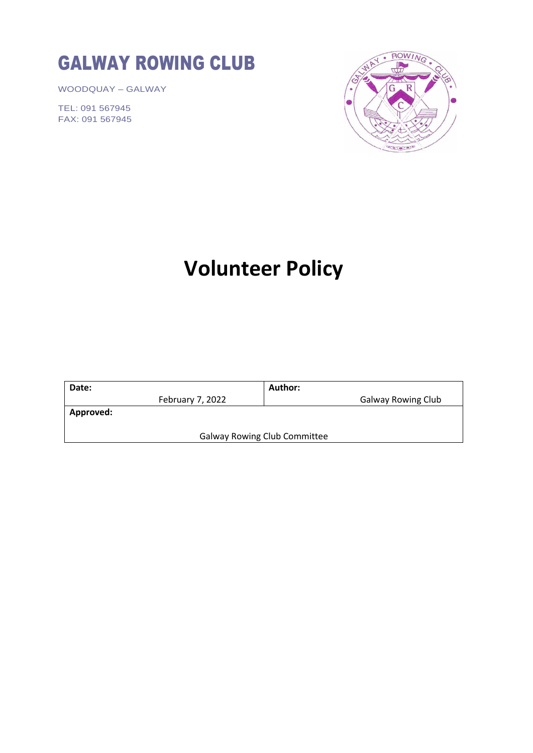# GALWAY ROWING CLUB

WOODQUAY – GALWAY

TEL: 091 567945 FAX: 091 567945



# **Volunteer Policy**

|                                     | Author:                   |
|-------------------------------------|---------------------------|
| February 7, 2022                    | <b>Galway Rowing Club</b> |
| <b>Approved:</b>                    |                           |
|                                     |                           |
| <b>Galway Rowing Club Committee</b> |                           |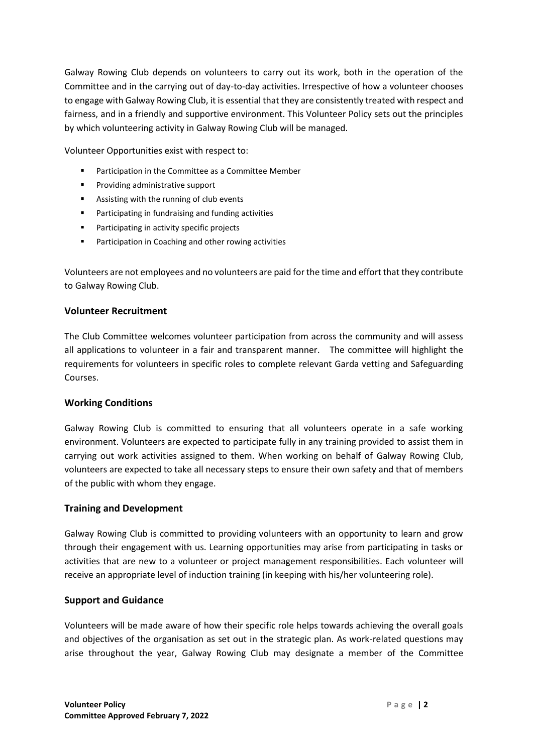Galway Rowing Club depends on volunteers to carry out its work, both in the operation of the Committee and in the carrying out of day-to-day activities. Irrespective of how a volunteer chooses to engage with Galway Rowing Club, it is essential that they are consistently treated with respect and fairness, and in a friendly and supportive environment. This Volunteer Policy sets out the principles by which volunteering activity in Galway Rowing Club will be managed.

Volunteer Opportunities exist with respect to:

- Participation in the Committee as a Committee Member
- Providing administrative support
- Assisting with the running of club events
- Participating in fundraising and funding activities
- Participating in activity specific projects
- Participation in Coaching and other rowing activities

Volunteers are not employees and no volunteers are paid for the time and effort that they contribute to Galway Rowing Club.

#### **Volunteer Recruitment**

The Club Committee welcomes volunteer participation from across the community and will assess all applications to volunteer in a fair and transparent manner. The committee will highlight the requirements for volunteers in specific roles to complete relevant Garda vetting and Safeguarding Courses.

#### **Working Conditions**

Galway Rowing Club is committed to ensuring that all volunteers operate in a safe working environment. Volunteers are expected to participate fully in any training provided to assist them in carrying out work activities assigned to them. When working on behalf of Galway Rowing Club, volunteers are expected to take all necessary steps to ensure their own safety and that of members of the public with whom they engage.

#### **Training and Development**

Galway Rowing Club is committed to providing volunteers with an opportunity to learn and grow through their engagement with us. Learning opportunities may arise from participating in tasks or activities that are new to a volunteer or project management responsibilities. Each volunteer will receive an appropriate level of induction training (in keeping with his/her volunteering role).

#### **Support and Guidance**

Volunteers will be made aware of how their specific role helps towards achieving the overall goals and objectives of the organisation as set out in the strategic plan. As work-related questions may arise throughout the year, Galway Rowing Club may designate a member of the Committee